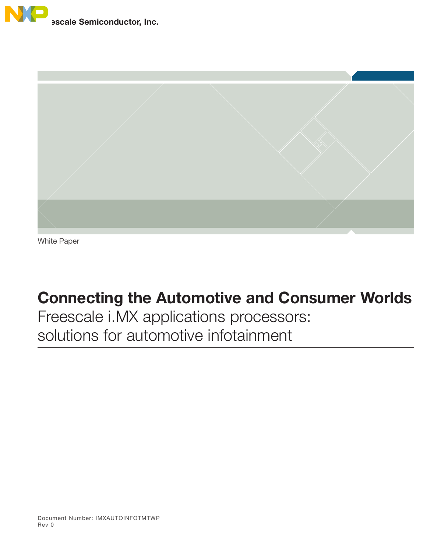



White Paper

# Connecting the Automotive and Consumer Worlds

Freescale i.MX applications processors: solutions for automotive infotainment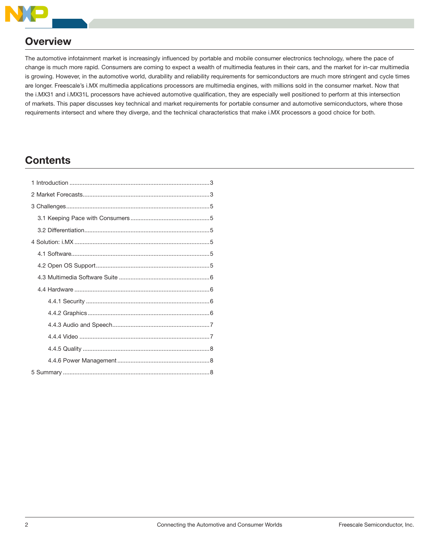

# **Overview**

The automotive infotainment market is increasingly influenced by portable and mobile consumer electronics technology, where the pace of change is much more rapid. Consumers are coming to expect a wealth of multimedia features in their cars, and the market for in-car multimedia is growing. However, in the automotive world, durability and reliability requirements for semiconductors are much more stringent and cycle times are longer. Freescale's i.MX multimedia applications processors are multimedia engines, with millions sold in the consumer market. Now that the i.MX31 and i.MX31L processors have achieved automotive qualification, they are especially well positioned to perform at this intersection of markets. This paper discusses key technical and market requirements for portable consumer and automotive semiconductors, where those requirements intersect and where they diverge, and the technical characteristics that make i.MX processors a good choice for both.

# **Contents**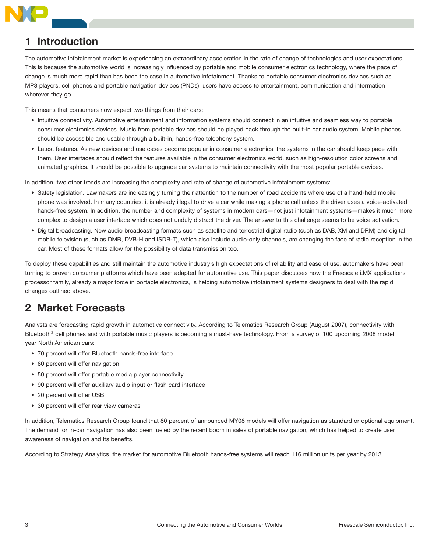

# **Introduction**

The automotive infotainment market is experiencing an extraordinary acceleration in the rate of change of technologies and user expectations. This is because the automotive world is increasingly influenced by portable and mobile consumer electronics technology, where the pace of change is much more rapid than has been the case in automotive infotainment. Thanks to portable consumer electronics devices such as MP3 players, cell phones and portable navigation devices (PNDs), users have access to entertainment, communication and information wherever they go.

This means that consumers now expect two things from their cars:

- Intuitive connectivity. Automotive entertainment and information systems should connect in an intuitive and seamless way to portable consumer electronics devices. Music from portable devices should be played back through the built-in car audio system. Mobile phones should be accessible and usable through a built-in, hands-free telephony system.
- Latest features. As new devices and use cases become popular in consumer electronics, the systems in the car should keep pace with them. User interfaces should reflect the features available in the consumer electronics world, such as high-resolution color screens and animated graphics. It should be possible to upgrade car systems to maintain connectivity with the most popular portable devices.

In addition, two other trends are increasing the complexity and rate of change of automotive infotainment systems:

- Safety legislation. Lawmakers are increasingly turning their attention to the number of road accidents where use of a hand-held mobile phone was involved. In many countries, it is already illegal to drive a car while making a phone call unless the driver uses a voice-activated hands-free system. In addition, the number and complexity of systems in modern cars—not just infotainment systems—makes it much more complex to design a user interface which does not unduly distract the driver. The answer to this challenge seems to be voice activation.
- Digital broadcasting. New audio broadcasting formats such as satellite and terrestrial digital radio (such as DAB, XM and DRM) and digital mobile television (such as DMB, DVB-H and ISDB-T), which also include audio-only channels, are changing the face of radio reception in the car. Most of these formats allow for the possibility of data transmission too.

To deploy these capabilities and still maintain the automotive industry's high expectations of reliability and ease of use, automakers have been turning to proven consumer platforms which have been adapted for automotive use. This paper discusses how the Freescale i.MX applications processor family, already a major force in portable electronics, is helping automotive infotainment systems designers to deal with the rapid changes outlined above.

# 2 Market Forecasts

Analysts are forecasting rapid growth in automotive connectivity. According to Telematics Research Group (August 2007), connectivity with Bluetooth® cell phones and with portable music players is becoming a must-have technology. From a survey of 100 upcoming 2008 model year North American cars:

- 70 percent will offer Bluetooth hands-free interface
- 80 percent will offer navigation
- 50 percent will offer portable media player connectivity
- 90 percent will offer auxiliary audio input or flash card interface
- 20 percent will offer USB
- 30 percent will offer rear view cameras

In addition, Telematics Research Group found that 80 percent of announced MY08 models will offer navigation as standard or optional equipment. The demand for in-car navigation has also been fueled by the recent boom in sales of portable navigation, which has helped to create user awareness of navigation and its benefits.

According to Strategy Analytics, the market for automotive Bluetooth hands-free systems will reach 116 million units per year by 2013.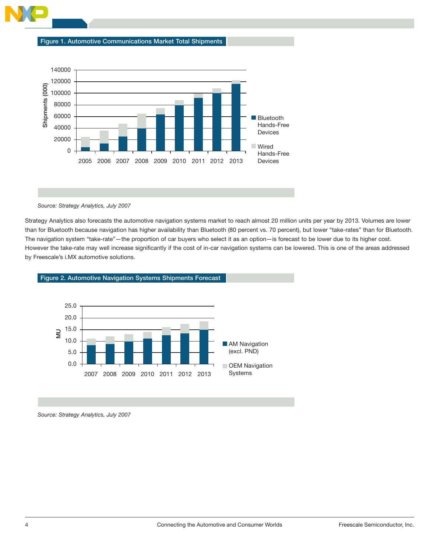



#### Source: Strategy Analytics, July 2007

Strategy Analytics also forecasts the automotive navigation systems market to reach almost 20 million units per year by 2013. Volumes are lower than for Bluetooth because navigation has higher availability than Bluetooth (80 percent vs. 70 percent), but lower "take-rates" than for Bluetooth. The navigation system "take-rate"—the proportion of car buyers who select it as an option—is forecast to be lower due to its higher cost. However the take-rate may well increase significantly if the cost of in-car navigation systems can be lowered. This is one of the areas addressed by Freescale's i.MX automotive solutions.



Figure 2. Automotive Navigation Systems Shipments Forecast

Source: Strategy Analytics, July 2007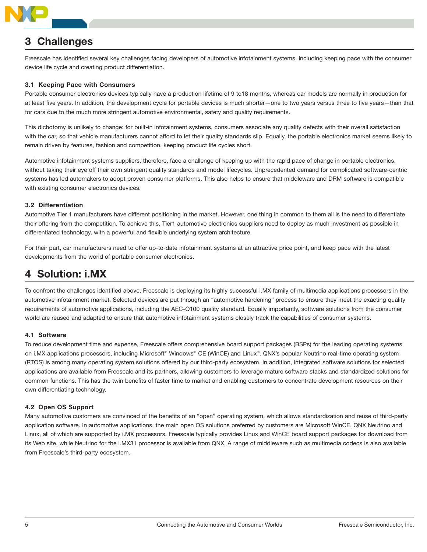

# **Challenges**

Freescale has identified several key challenges facing developers of automotive infotainment systems, including keeping pace with the consumer device life cycle and creating product differentiation.

### 3.1 Keeping Pace with Consumers

Portable consumer electronics devices typically have a production lifetime of 9 to18 months, whereas car models are normally in production for at least five years. In addition, the development cycle for portable devices is much shorter—one to two years versus three to five years—than that for cars due to the much more stringent automotive environmental, safety and quality requirements.

This dichotomy is unlikely to change: for built-in infotainment systems, consumers associate any quality defects with their overall satisfaction with the car, so that vehicle manufacturers cannot afford to let their quality standards slip. Equally, the portable electronics market seems likely to remain driven by features, fashion and competition, keeping product life cycles short.

Automotive infotainment systems suppliers, therefore, face a challenge of keeping up with the rapid pace of change in portable electronics, without taking their eye off their own stringent quality standards and model lifecycles. Unprecedented demand for complicated software-centric systems has led automakers to adopt proven consumer platforms. This also helps to ensure that middleware and DRM software is compatible with existing consumer electronics devices.

### 3.2 Differentiation

Automotive Tier 1 manufacturers have different positioning in the market. However, one thing in common to them all is the need to differentiate their offering from the competition. To achieve this, Tier1 automotive electronics suppliers need to deploy as much investment as possible in differentiated technology, with a powerful and flexible underlying system architecture.

For their part, car manufacturers need to offer up-to-date infotainment systems at an attractive price point, and keep pace with the latest developments from the world of portable consumer electronics.

# 4 Solution: i.MX

To confront the challenges identified above, Freescale is deploying its highly successful i.MX family of multimedia applications processors in the automotive infotainment market. Selected devices are put through an "automotive hardening" process to ensure they meet the exacting quality requirements of automotive applications, including the AEC-Q100 quality standard. Equally importantly, software solutions from the consumer world are reused and adapted to ensure that automotive infotainment systems closely track the capabilities of consumer systems.

### 4.1 Software

To reduce development time and expense, Freescale offers comprehensive board support packages (BSPs) for the leading operating systems on i.MX applications processors, including Microsoft® Windows® CE (WinCE) and Linux®. QNX's popular Neutrino real-time operating system (RTOS) is among many operating system solutions offered by our third-party ecosystem. In addition, integrated software solutions for selected applications are available from Freescale and its partners, allowing customers to leverage mature software stacks and standardized solutions for common functions. This has the twin benefits of faster time to market and enabling customers to concentrate development resources on their own differentiating technology.

### 4.2 Open OS Support

Many automotive customers are convinced of the benefits of an "open" operating system, which allows standardization and reuse of third-party application software. In automotive applications, the main open OS solutions preferred by customers are Microsoft WinCE, QNX Neutrino and Linux, all of which are supported by i.MX processors. Freescale typically provides Linux and WinCE board support packages for download from its Web site, while Neutrino for the i.MX31 processor is available from QNX. A range of middleware such as multimedia codecs is also available from Freescale's third-party ecosystem.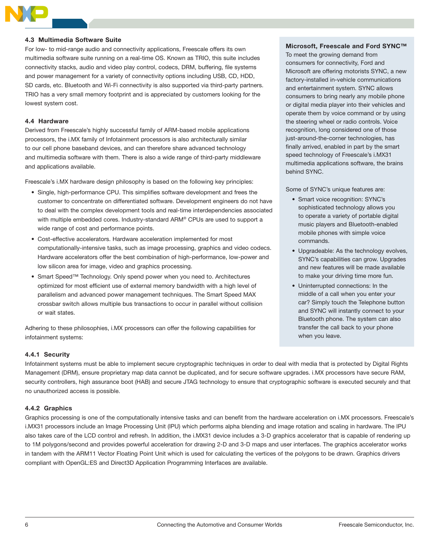

### 4.3 Multimedia Software Suite

For low- to mid-range audio and connectivity applications, Freescale offers its own multimedia software suite running on a real-time OS. Known as TRIO, this suite includes connectivity stacks, audio and video play control, codecs, DRM, buffering, file systems and power management for a variety of connectivity options including USB, CD, HDD, SD cards, etc. Bluetooth and Wi-Fi connectivity is also supported via third-party partners. TRIO has a very small memory footprint and is appreciated by customers looking for the lowest system cost.

#### 4.4 Hardware

Derived from Freescale's highly successful family of ARM-based mobile applications processors, the i.MX family of Infotainment processors is also architecturally similar to our cell phone baseband devices, and can therefore share advanced technology and multimedia software with them. There is also a wide range of third-party middleware and applications available.

Freescale's i.MX hardware design philosophy is based on the following key principles:

- Single, high-performance CPU. This simplifies software development and frees the customer to concentrate on differentiated software. Development engineers do not have to deal with the complex development tools and real-time interdependencies associated with multiple embedded cores. Industry-standard ARM® CPUs are used to support a wide range of cost and performance points.
- Cost-effective accelerators. Hardware acceleration implemented for most computationally-intensive tasks, such as image processing, graphics and video codecs. Hardware accelerators offer the best combination of high-performance, low-power and low silicon area for image, video and graphics processing.
- Smart Speed™ Technology. Only spend power when you need to. Architectures optimized for most efficient use of external memory bandwidth with a high level of parallelism and advanced power management techniques. The Smart Speed MAX crossbar switch allows multiple bus transactions to occur in parallel without collision or wait states.

Adhering to these philosophies, i.MX processors can offer the following capabilities for infotainment systems:

### 4.4.1 Security

Infotainment systems must be able to implement secure cryptographic techniques in order to deal with media that is protected by Digital Rights Management (DRM), ensure proprietary map data cannot be duplicated, and for secure software upgrades. i.MX processors have secure RAM, security controllers, high assurance boot (HAB) and secure JTAG technology to ensure that cryptographic software is executed securely and that no unauthorized access is possible.

### 4.4.2 Graphics

Graphics processing is one of the computationally intensive tasks and can benefit from the hardware acceleration on i.MX processors. Freescale's i.MX31 processors include an Image Processing Unit (IPU) which performs alpha blending and image rotation and scaling in hardware. The IPU also takes care of the LCD control and refresh. In addition, the i.MX31 device includes a 3-D graphics accelerator that is capable of rendering up to 1M polygons/second and provides powerful acceleration for drawing 2-D and 3-D maps and user interfaces. The graphics accelerator works in tandem with the ARM11 Vector Floating Point Unit which is used for calculating the vertices of the polygons to be drawn. Graphics drivers compliant with OpenGL:ES and Direct3D Application Programming Interfaces are available.

### Microsoft, Freescale and Ford SYNC™

To meet the growing demand from consumers for connectivity, Ford and Microsoft are offering motorists SYNC, a new factory-installed in-vehicle communications and entertainment system. SYNC allows consumers to bring nearly any mobile phone or digital media player into their vehicles and operate them by voice command or by using the steering wheel or radio controls. Voice recognition, long considered one of those just-around-the-corner technologies, has finally arrived, enabled in part by the smart speed technology of Freescale's i.MX31 multimedia applications software, the brains behind SYNC.

Some of SYNC's unique features are:

- Smart voice recognition: SYNC's sophisticated technology allows you to operate a variety of portable digital music players and Bluetooth-enabled mobile phones with simple voice commands.
- Upgradeable: As the technology evolves, SYNC's capabilities can grow. Upgrades and new features will be made available to make your driving time more fun.
- Uninterrupted connections: In the middle of a call when you enter your car? Simply touch the Telephone button and SYNC will instantly connect to your Bluetooth phone. The system can also transfer the call back to your phone when you leave.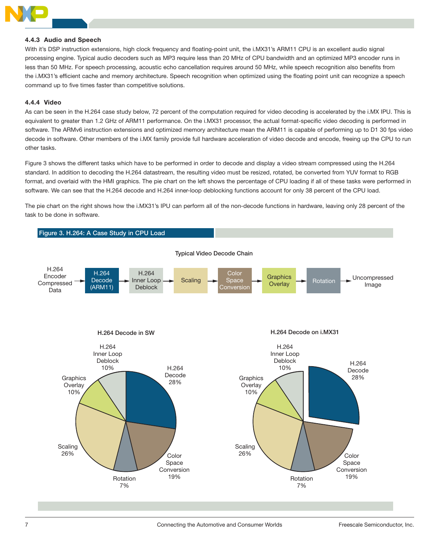

### 4.4.3 Audio and Speech

With it's DSP instruction extensions, high clock frequency and floating-point unit, the i.MX31's ARM11 CPU is an excellent audio signal processing engine. Typical audio decoders such as MP3 require less than 20 MHz of CPU bandwidth and an optimized MP3 encoder runs in less than 50 MHz. For speech processing, acoustic echo cancellation requires around 50 MHz, while speech recognition also benefits from the i.MX31's efficient cache and memory architecture. Speech recognition when optimized using the floating point unit can recognize a speech command up to five times faster than competitive solutions.

#### 4.4.4 Video

As can be seen in the H.264 case study below, 72 percent of the computation required for video decoding is accelerated by the i.MX IPU. This is equivalent to greater than 1.2 GHz of ARM11 performance. On the i.MX31 processor, the actual format-specific video decoding is performed in software. The ARMv6 instruction extensions and optimized memory architecture mean the ARM11 is capable of performing up to D1 30 fps video decode in software. Other members of the i.MX family provide full hardware acceleration of video decode and encode, freeing up the CPU to run other tasks.

Figure 3 shows the different tasks which have to be performed in order to decode and display a video stream compressed using the H.264 standard. In addition to decoding the H.264 datastream, the resulting video must be resized, rotated, be converted from YUV format to RGB format, and overlaid with the HMI graphics. The pie chart on the left shows the percentage of CPU loading if all of these tasks were performed in software. We can see that the H.264 decode and H.264 inner-loop deblocking functions account for only 38 percent of the CPU load.

The pie chart on the right shows how the i.MX31's IPU can perform all of the non-decode functions in hardware, leaving only 28 percent of the task to be done in software.

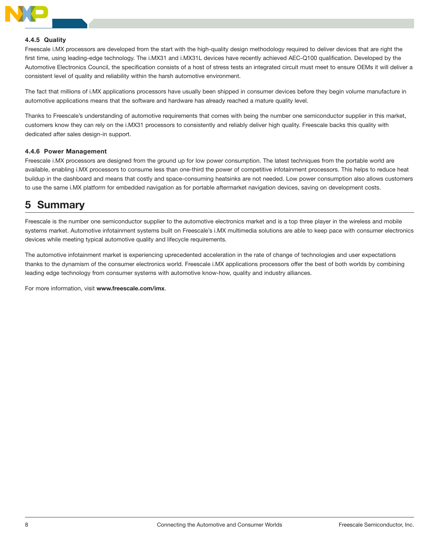

#### 4.4.5 Quality

Freescale i.MX processors are developed from the start with the high-quality design methodology required to deliver devices that are right the first time, using leading-edge technology. The i.MX31 and i.MX31L devices have recently achieved AEC-Q100 qualification. Developed by the Automotive Electronics Council, the specification consists of a host of stress tests an integrated circuit must meet to ensure OEMs it will deliver a consistent level of quality and reliability within the harsh automotive environment.

The fact that millions of i.MX applications processors have usually been shipped in consumer devices before they begin volume manufacture in automotive applications means that the software and hardware has already reached a mature quality level.

Thanks to Freescale's understanding of automotive requirements that comes with being the number one semiconductor supplier in this market, customers know they can rely on the i.MX31 processors to consistently and reliably deliver high quality. Freescale backs this quality with dedicated after sales design-in support.

#### 4.4.6 Power Management

Freescale i.MX processors are designed from the ground up for low power consumption. The latest techniques from the portable world are available, enabling i.MX processors to consume less than one-third the power of competitive infotainment processors. This helps to reduce heat buildup in the dashboard and means that costly and space-consuming heatsinks are not needed. Low power consumption also allows customers to use the same i.MX platform for embedded navigation as for portable aftermarket navigation devices, saving on development costs.

## 5 Summary

Freescale is the number one semiconductor supplier to the automotive electronics market and is a top three player in the wireless and mobile systems market. Automotive infotainment systems built on Freescale's i.MX multimedia solutions are able to keep pace with consumer electronics devices while meeting typical automotive quality and lifecycle requirements.

The automotive infotainment market is experiencing uprecedented acceleration in the rate of change of technologies and user expectations thanks to the dynamism of the consumer electronics world. Freescale i.MX applications processors offer the best of both worlds by combining leading edge technology from consumer systems with automotive know-how, quality and industry alliances.

For more information, visit www.freescale.com/imx.